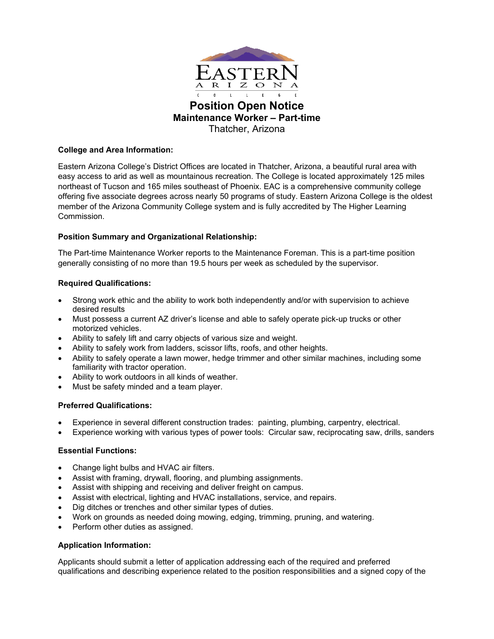

Thatcher, Arizona

# **College and Area Information:**

Eastern Arizona College's District Offices are located in Thatcher, Arizona, a beautiful rural area with easy access to arid as well as mountainous recreation. The College is located approximately 125 miles northeast of Tucson and 165 miles southeast of Phoenix. EAC is a comprehensive community college offering five associate degrees across nearly 50 programs of study. Eastern Arizona College is the oldest member of the Arizona Community College system and is fully accredited by The Higher Learning Commission.

# **Position Summary and Organizational Relationship:**

The Part-time Maintenance Worker reports to the Maintenance Foreman. This is a part-time position generally consisting of no more than 19.5 hours per week as scheduled by the supervisor.

# **Required Qualifications:**

- Strong work ethic and the ability to work both independently and/or with supervision to achieve desired results
- Must possess a current AZ driver's license and able to safely operate pick-up trucks or other motorized vehicles.
- Ability to safely lift and carry objects of various size and weight.
- Ability to safely work from ladders, scissor lifts, roofs, and other heights.
- Ability to safely operate a lawn mower, hedge trimmer and other similar machines, including some familiarity with tractor operation.
- Ability to work outdoors in all kinds of weather.
- Must be safety minded and a team player.

## **Preferred Qualifications:**

- Experience in several different construction trades: painting, plumbing, carpentry, electrical.
- Experience working with various types of power tools: Circular saw, reciprocating saw, drills, sanders

## **Essential Functions:**

- Change light bulbs and HVAC air filters.
- Assist with framing, drywall, flooring, and plumbing assignments.
- Assist with shipping and receiving and deliver freight on campus.
- Assist with electrical, lighting and HVAC installations, service, and repairs.
- Dig ditches or trenches and other similar types of duties.
- Work on grounds as needed doing mowing, edging, trimming, pruning, and watering.
- Perform other duties as assigned.

## **Application Information:**

Applicants should submit a letter of application addressing each of the required and preferred qualifications and describing experience related to the position responsibilities and a signed copy of the